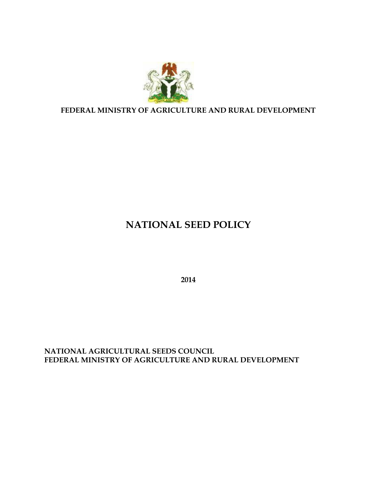

**FEDERAL MINISTRY OF AGRICULTURE AND RURAL DEVELOPMENT**

# **NATIONAL SEED POLICY**

**2014**

**NATIONAL AGRICULTURAL SEEDS COUNCIL FEDERAL MINISTRY OF AGRICULTURE AND RURAL DEVELOPMENT**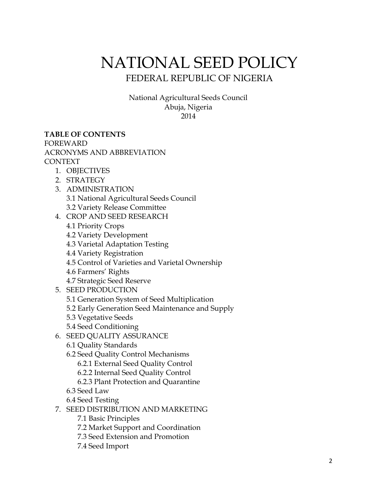# NATIONAL SEED POLICY FEDERAL REPUBLIC OF NIGERIA

National Agricultural Seeds Council Abuja, Nigeria 2014

#### **TABLE OF CONTENTS**

FOREWARD

ACRONYMS AND ABBREVIATION

CONTEXT

- 1. OBJECTIVES
- 2. STRATEGY
- 3. ADMINISTRATION 3.1 National Agricultural Seeds Council 3.2 Variety Release Committee
- 4. CROP AND SEED RESEARCH
	- 4.1 Priority Crops
	- 4.2 Variety Development
	- 4.3 Varietal Adaptation Testing
	- 4.4 Variety Registration
	- 4.5 Control of Varieties and Varietal Ownership

4.6 Farmers' Rights

- 4.7 Strategic Seed Reserve
- 5. SEED PRODUCTION
	- 5.1 Generation System of Seed Multiplication
	- 5.2 Early Generation Seed Maintenance and Supply
	- 5.3 Vegetative Seeds
	- 5.4 Seed Conditioning
- 6. SEED QUALITY ASSURANCE
	- 6.1 Quality Standards
	- 6.2 Seed Quality Control Mechanisms
		- 6.2.1 External Seed Quality Control
		- 6.2.2 Internal Seed Quality Control
		- 6.2.3 Plant Protection and Quarantine
	- 6.3 Seed Law
	- 6.4 Seed Testing
- 7. SEED DISTRIBUTION AND MARKETING
	- 7.1 Basic Principles
	- 7.2 Market Support and Coordination
	- 7.3 Seed Extension and Promotion
	- 7.4 Seed Import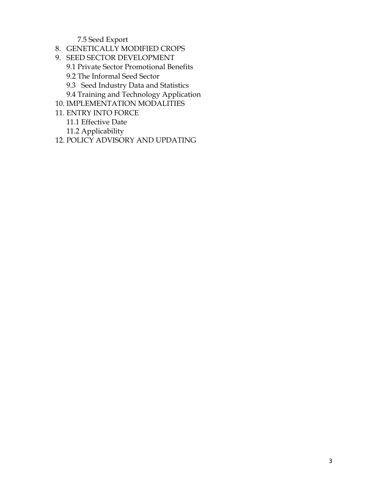7.5 Seed Export

- 8. GENETICALLY MODIFIED CROPS
- 9. SEED SECTOR DEVELOPMENT
	- 9.1 Private Sector Promotional Benefits
	- 9.2 The Informal Seed Sector
	- 9.3 Seed Industry Data and Statistics
	- 9.4 Training and Technology Application
- 10. IMPLEMENTATION MODALITIES
- 11. ENTRY INTO FORCE
	- 11.1 Effective Date
	- 11.2 Applicability
- 12. POLICY ADVISORY AND UPDATING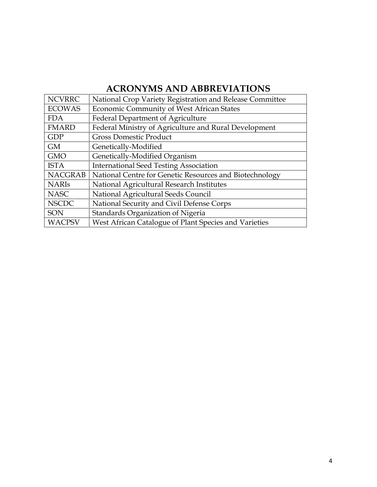## **ACRONYMS AND ABBREVIATIONS**

| <b>NCVRRC</b>  | National Crop Variety Registration and Release Committee |
|----------------|----------------------------------------------------------|
| <b>ECOWAS</b>  | Economic Community of West African States                |
| <b>FDA</b>     | <b>Federal Department of Agriculture</b>                 |
| <b>FMARD</b>   | Federal Ministry of Agriculture and Rural Development    |
| <b>GDP</b>     | <b>Gross Domestic Product</b>                            |
| <b>GM</b>      | Genetically-Modified                                     |
| <b>GMO</b>     | Genetically-Modified Organism                            |
| <b>ISTA</b>    | <b>International Seed Testing Association</b>            |
| <b>NACGRAB</b> | National Centre for Genetic Resources and Biotechnology  |
| <b>NARIS</b>   | National Agricultural Research Institutes                |
| <b>NASC</b>    | National Agricultural Seeds Council                      |
| <b>NSCDC</b>   | National Security and Civil Defense Corps                |
| SON            | Standards Organization of Nigeria                        |
| <b>WACPSV</b>  | West African Catalogue of Plant Species and Varieties    |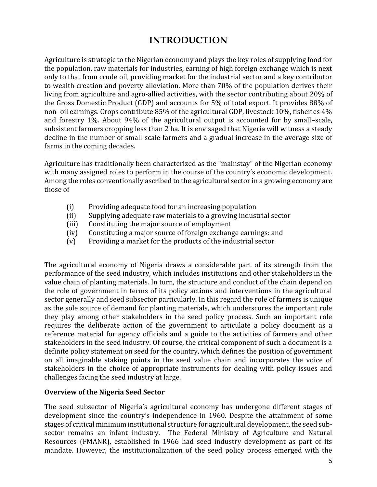### **INTRODUCTION**

Agriculture is strategic to the Nigerian economy and plays the key roles of supplying food for the population, raw materials for industries, earning of high foreign exchange which is next only to that from crude oil, providing market for the industrial sector and a key contributor to wealth creation and poverty alleviation. More than 70% of the population derives their living from agriculture and agro-allied activities, with the sector contributing about 20% of the Gross Domestic Product (GDP) and accounts for 5% of total export. It provides 88% of non–oil earnings. Crops contribute 85% of the agricultural GDP, livestock 10%, fisheries 4% and forestry 1%. About 94% of the agricultural output is accounted for by small–scale, subsistent farmers cropping less than 2 ha. It is envisaged that Nigeria will witness a steady decline in the number of small-scale farmers and a gradual increase in the average size of farms in the coming decades.

Agriculture has traditionally been characterized as the "mainstay" of the Nigerian economy with many assigned roles to perform in the course of the country's economic development. Among the roles conventionally ascribed to the agricultural sector in a growing economy are those of

- (i) Providing adequate food for an increasing population<br>(ii) Supplying adequate raw materials to a growing indust
- (ii) Supplying adequate raw materials to a growing industrial sector<br>(iii) Constituting the major source of employment
- (iii) Constituting the major source of employment<br>(iv) Constituting a major source of foreign exchang
- (iv) Constituting a major source of foreign exchange earnings: and (v) Providing a market for the products of the industrial sector
- Providing a market for the products of the industrial sector

The agricultural economy of Nigeria draws a considerable part of its strength from the performance of the seed industry, which includes institutions and other stakeholders in the value chain of planting materials. In turn, the structure and conduct of the chain depend on the role of government in terms of its policy actions and interventions in the agricultural sector generally and seed subsector particularly. In this regard the role of farmers is unique as the sole source of demand for planting materials, which underscores the important role they play among other stakeholders in the seed policy process. Such an important role requires the deliberate action of the government to articulate a policy document as a reference material for agency officials and a guide to the activities of farmers and other stakeholders in the seed industry. Of course, the critical component of such a document is a definite policy statement on seed for the country, which defines the position of government on all imaginable staking points in the seed value chain and incorporates the voice of stakeholders in the choice of appropriate instruments for dealing with policy issues and challenges facing the seed industry at large.

#### **Overview of the Nigeria Seed Sector**

The seed subsector of Nigeria's agricultural economy has undergone different stages of development since the country's independence in 1960. Despite the attainment of some stages of critical minimum institutional structure for agricultural development, the seed sub sector remains an infant industry. The Federal Ministry of Agriculture and Natural Resources (FMANR), established in 1966 had seed industry development as part of its mandate. However, the institutionalization of the seed policy process emerged with the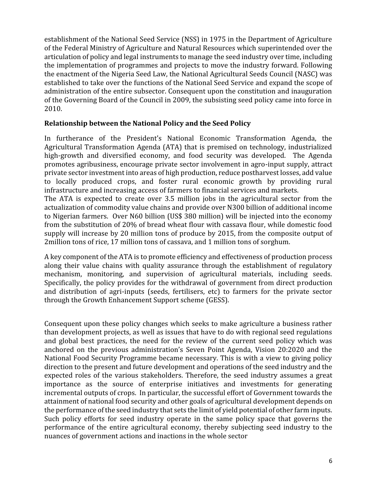establishment of the National Seed Service (NSS) in 1975 in the Department of Agriculture of the Federal Ministry of Agriculture and Natural Resources which superintended over the articulation of policy and legal instruments to manage the seed industry over time, including the implementation of programmes and projects to move the industry forward. Following the enactment of the Nigeria Seed Law, the National Agricultural Seeds Council (NASC) was established to take over the functions of the National Seed Service and expand the scope of administration of the entire subsector. Consequent upon the constitution and inauguration of the Governing Board of the Council in 2009, the subsisting seed policy came into force in 2010.

#### **Relationship between the National Policy and the Seed Policy**

In furtherance of the President's National Economic Transformation Agenda, the Agricultural Transformation Agenda (ATA) that is premised on technology, industrialized high-growth and diversified economy, and food security was developed. The Agenda promotes agribusiness, encourage private sector involvement in agro-input supply, attract private sector investment into areas of high production, reduce postharvest losses, add value to locally produced crops, and foster rural economic growth by providing rural infrastructure and increasing access of farmers to financial services and markets. The ATA is expected to create over 3.5 million jobs in the agricultural sector from the

actualization of commodity value chains and provide over N300 billion of additional income to Nigerian farmers. Over N60 billion (US\$ 380 million) will be injected into the economy from the substitution of 20% of bread wheat flour with cassava flour, while domestic food supply will increase by 20 million tons of produce by 2015, from the composite output of 2million tons of rice, 17 million tons of cassava, and 1 million tons of sorghum.

A key component of the ATA is to promote efficiency and effectiveness of production process along their value chains with quality assurance through the establishment of regulatory mechanism, monitoring, and supervision of agricultural materials, including seeds. Specifically, the policy provides for the withdrawal of government from direct production and distribution of agri-inputs (seeds, fertilisers, etc) to farmers for the private sector through the Growth Enhancement Support scheme (GESS).

Consequent upon these policy changes which seeks to make agriculture a business rather than development projects, as well as issues that have to do with regional seed regulations and global best practices, the need for the review of the current seed policy which was anchored on the previous administration's Seven Point Agenda, Vision 20:2020 and the National Food Security Programme became necessary. This is with a view to giving policy direction to the present and future development and operations of the seed industry and the expected roles of the various stakeholders. Therefore, the seed industry assumes a great importance as the source of enterprise initiatives and investments for generating incremental outputs of crops. In particular, the successful effort of Government towards the attainment of national food security and other goals of agricultural development depends on the performance of the seed industry that sets the limit of yield potential of other farm inputs. Such policy efforts for seed industry operate in the same policy space that governs the performance of the entire agricultural economy, thereby subjecting seed industry to the nuances of government actions and inactions in the whole sector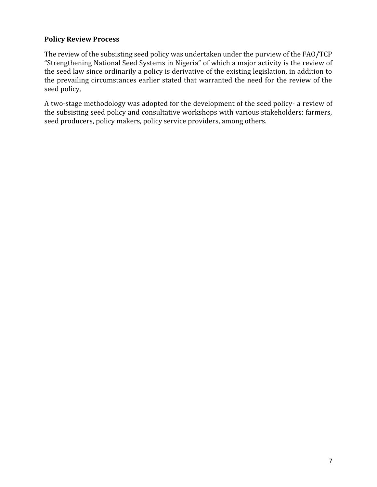#### **Policy Review Process**

The review of the subsisting seed policy was undertaken under the purview of the FAO/TCP "Strengthening National Seed Systems in Nigeria" of which a major activity is the review of the seed law since ordinarily a policy is derivative of the existing legislation, in addition to the prevailing circumstances earlier stated that warranted the need for the review of the seed policy,

A two-stage methodology was adopted for the development of the seed policy- a review of the subsisting seed policy and consultative workshops with various stakeholders: farmers, seed producers, policy makers, policy service providers, among others.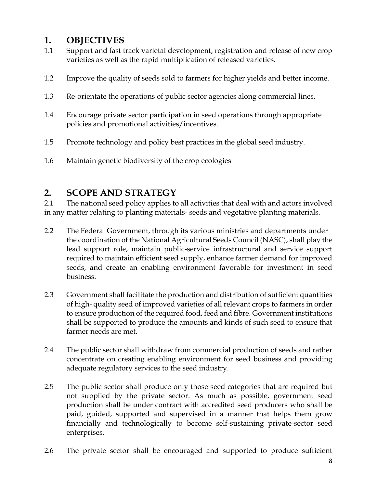### **1. OBJECTIVES**

- 1.1 Support and fast track varietal development, registration and release of new crop varieties as well as the rapid multiplication of released varieties.
- 1.2 Improve the quality of seeds sold to farmers for higher yields and better income.
- 1.3 Re-orientate the operations of public sector agencies along commercial lines.
- 1.4 Encourage private sector participation in seed operations through appropriate policies and promotional activities/incentives.
- 1.5 Promote technology and policy best practices in the global seed industry.
- 1.6 Maintain genetic biodiversity of the crop ecologies

### **2. SCOPE AND STRATEGY**

2.1 The national seed policy applies to all activities that deal with and actors involved in any matter relating to planting materials- seeds and vegetative planting materials.

- 2.2 The Federal Government, through its various ministries and departments under the coordination of the National Agricultural Seeds Council (NASC), shall play the lead support role, maintain public-service infrastructural and service support required to maintain efficient seed supply, enhance farmer demand for improved seeds, and create an enabling environment favorable for investment in seed business.
- 2.3 Government shall facilitate the production and distribution of sufficient quantities of high- quality seed of improved varieties of all relevant crops to farmers in order to ensure production of the required food, feed and fibre. Government institutions shall be supported to produce the amounts and kinds of such seed to ensure that farmer needs are met.
- 2.4 The public sector shall withdraw from commercial production of seeds and rather concentrate on creating enabling environment for seed business and providing adequate regulatory services to the seed industry.
- 2.5 The public sector shall produce only those seed categories that are required but not supplied by the private sector. As much as possible, government seed production shall be under contract with accredited seed producers who shall be paid, guided, supported and supervised in a manner that helps them grow financially and technologically to become self-sustaining private-sector seed enterprises.
- 2.6 The private sector shall be encouraged and supported to produce sufficient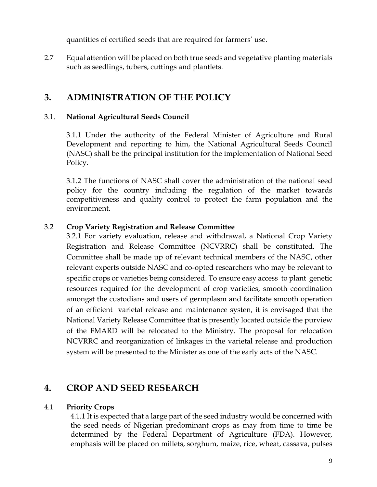quantities of certified seeds that are required for farmers' use.

2.7 Equal attention will be placed on both true seeds and vegetative planting materials such as seedlings, tubers, cuttings and plantlets.

### **3. ADMINISTRATION OF THE POLICY**

#### 3.1. **National Agricultural Seeds Council**

3.1.1 Under the authority of the Federal Minister of Agriculture and Rural Development and reporting to him, the National Agricultural Seeds Council (NASC) shall be the principal institution for the implementation of National Seed Policy.

3.1.2 The functions of NASC shall cover the administration of the national seed policy for the country including the regulation of the market towards competitiveness and quality control to protect the farm population and the environment.

#### 3.2 **Crop Variety Registration and Release Committee**

3.2.1 For variety evaluation, release and withdrawal, a National Crop Variety Registration and Release Committee (NCVRRC) shall be constituted. The Committee shall be made up of relevant technical members of the NASC, other relevant experts outside NASC and co-opted researchers who may be relevant to specific crops or varieties being considered. To ensure easy access to plant genetic resources required for the development of crop varieties, smooth coordination amongst the custodians and users of germplasm and facilitate smooth operation of an efficient varietal release and maintenance systen, it is envisaged that the National Variety Release Committee that is presently located outside the purview of the FMARD will be relocated to the Ministry. The proposal for relocation NCVRRC and reorganization of linkages in the varietal release and production system will be presented to the Minister as one of the early acts of the NASC.

### **4. CROP AND SEED RESEARCH**

#### 4.1 **Priority Crops**

4.1.1 It is expected that a large part of the seed industry would be concerned with the seed needs of Nigerian predominant crops as may from time to time be determined by the Federal Department of Agriculture (FDA). However, emphasis will be placed on millets, sorghum, maize, rice, wheat, cassava, pulses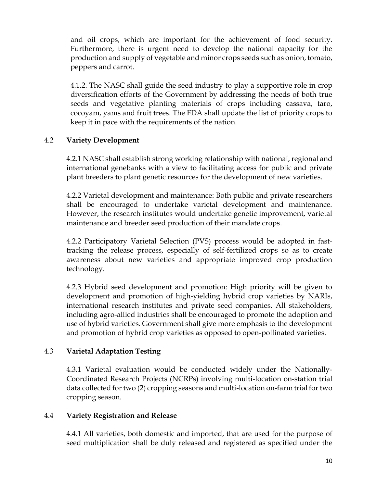and oil crops, which are important for the achievement of food security. Furthermore, there is urgent need to develop the national capacity for the production and supply of vegetable and minor crops seeds such as onion, tomato, peppers and carrot.

4.1.2. The NASC shall guide the seed industry to play a supportive role in crop diversification efforts of the Government by addressing the needs of both true seeds and vegetative planting materials of crops including cassava, taro, cocoyam, yams and fruit trees. The FDA shall update the list of priority crops to keep it in pace with the requirements of the nation.

#### 4.2 **Variety Development**

4.2.1 NASC shall establish strong working relationship with national, regional and international genebanks with a view to facilitating access for public and private plant breeders to plant genetic resources for the development of new varieties.

4.2.2 Varietal development and maintenance: Both public and private researchers shall be encouraged to undertake varietal development and maintenance. However, the research institutes would undertake genetic improvement, varietal maintenance and breeder seed production of their mandate crops.

4.2.2 Participatory Varietal Selection (PVS) process would be adopted in fasttracking the release process, especially of self-fertilized crops so as to create awareness about new varieties and appropriate improved crop production technology.

4.2.3 Hybrid seed development and promotion: High priority will be given to development and promotion of high-yielding hybrid crop varieties by NARIs, international research institutes and private seed companies. All stakeholders, including agro-allied industries shall be encouraged to promote the adoption and use of hybrid varieties. Government shall give more emphasis to the development and promotion of hybrid crop varieties as opposed to open-pollinated varieties.

#### 4.3 **Varietal Adaptation Testing**

4.3.1 Varietal evaluation would be conducted widely under the Nationally- Coordinated Research Projects (NCRPs) involving multi-location on-station trial data collected for two (2) cropping seasons and multi-location on-farm trial for two cropping season.

#### 4.4 **Variety Registration and Release**

4.4.1 All varieties, both domestic and imported, that are used for the purpose of seed multiplication shall be duly released and registered as specified under the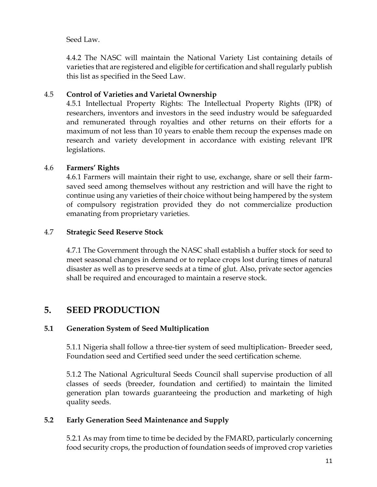Seed Law.

4.4.2 The NASC will maintain the National Variety List containing details of varieties that are registered and eligible for certification and shall regularly publish this list as specified in the Seed Law.

#### 4.5 **Control of Varieties and Varietal Ownership**

4.5.1 Intellectual Property Rights: The Intellectual Property Rights (IPR) of researchers, inventors and investors in the seed industry would be safeguarded and remunerated through royalties and other returns on their efforts for a maximum of not less than 10 years to enable them recoup the expenses made on research and variety development in accordance with existing relevant IPR legislations.

#### 4.6 **Farmers' Rights**

4.6.1 Farmers will maintain their right to use, exchange, share or sell their farm saved seed among themselves without any restriction and will have the right to continue using any varieties of their choice without being hampered by the system of compulsory registration provided they do not commercialize production emanating from proprietary varieties.

#### 4.7 **Strategic Seed Reserve Stock**

4.7.1 The Government through the NASC shall establish a buffer stock for seed to meet seasonal changes in demand or to replace crops lost during times of natural disaster as well as to preserve seeds at a time of glut. Also, private sector agencies shall be required and encouraged to maintain a reserve stock.

### **5. SEED PRODUCTION**

#### **5.1 Generation System of Seed Multiplication**

5.1.1 Nigeria shall follow a three-tier system of seed multiplication- Breeder seed, Foundation seed and Certified seed under the seed certification scheme.

5.1.2 The National Agricultural Seeds Council shall supervise production of all classes of seeds (breeder, foundation and certified) to maintain the limited generation plan towards guaranteeing the production and marketing of high quality seeds.

#### **5.2 Early Generation Seed Maintenance and Supply**

5.2.1 As may from time to time be decided by the FMARD, particularly concerning food security crops, the production of foundation seeds of improved crop varieties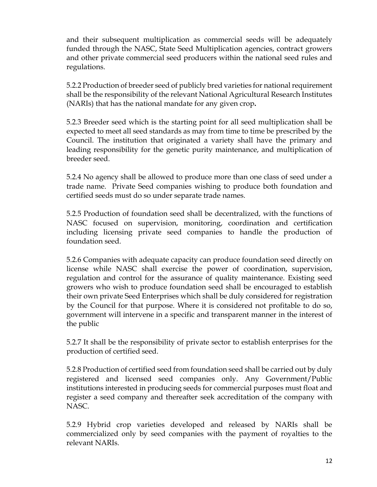and their subsequent multiplication as commercial seeds will be adequately funded through the NASC, State Seed Multiplication agencies, contract growers and other private commercial seed producers within the national seed rules and regulations.

5.2.2 Production of breeder seed of publicly bred varieties for national requirement shall be the responsibility of the relevant National Agricultural Research Institutes (NARIs) that has the national mandate for any given crop**.**

5.2.3 Breeder seed which is the starting point for all seed multiplication shall be expected to meet all seed standards as may from time to time be prescribed by the Council. The institution that originated a variety shall have the primary and leading responsibility for the genetic purity maintenance, and multiplication of breeder seed.

5.2.4 No agency shall be allowed to produce more than one class of seed under a trade name. Private Seed companies wishing to produce both foundation and certified seeds must do so under separate trade names.

5.2.5 Production of foundation seed shall be decentralized, with the functions of NASC focused on supervision, monitoring, coordination and certification including licensing private seed companies to handle the production of foundation seed.

5.2.6 Companies with adequate capacity can produce foundation seed directly on license while NASC shall exercise the power of coordination, supervision, regulation and control for the assurance of quality maintenance. Existing seed growers who wish to produce foundation seed shall be encouraged to establish their own private Seed Enterprises which shall be duly considered for registration by the Council for that purpose. Where it is considered not profitable to do so, government will intervene in a specific and transparent manner in the interest of the public

5.2.7 It shall be the responsibility of private sector to establish enterprises for the production of certified seed.

5.2.8 Production of certified seed from foundation seed shall be carried out by duly registered and licensed seed companies only. Any Government/Public institutions interested in producing seeds for commercial purposes must float and register a seed company and thereafter seek accreditation of the company with NASC.

5.2.9 Hybrid crop varieties developed and released by NARIs shall be commercialized only by seed companies with the payment of royalties to the relevant NARIs.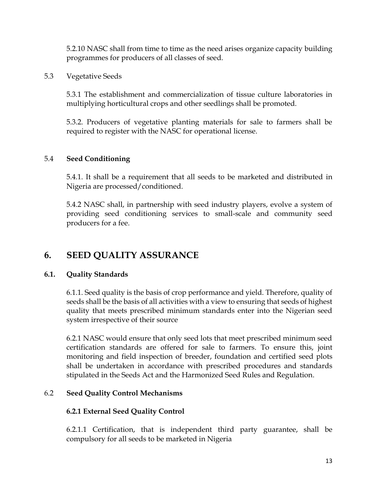5.2.10 NASC shall from time to time as the need arises organize capacity building programmes for producers of all classes of seed.

5.3 Vegetative Seeds

5.3.1 The establishment and commercialization of tissue culture laboratories in multiplying horticultural crops and other seedlings shall be promoted.

5.3.2. Producers of vegetative planting materials for sale to farmers shall be required to register with the NASC for operational license.

#### 5.4 **Seed Conditioning**

5.4.1. It shall be a requirement that all seeds to be marketed and distributed in Nigeria are processed/conditioned.

5.4.2 NASC shall, in partnership with seed industry players, evolve a system of providing seed conditioning services to small-scale and community seed producers for a fee.

### **6. SEED QUALITY ASSURANCE**

#### **6.1. Quality Standards**

6.1.1. Seed quality is the basis of crop performance and yield. Therefore, quality of seeds shall be the basis of all activities with a view to ensuring that seeds of highest quality that meets prescribed minimum standards enter into the Nigerian seed system irrespective of their source

6.2.1 NASC would ensure that only seed lots that meet prescribed minimum seed certification standards are offered for sale to farmers. To ensure this, joint monitoring and field inspection of breeder, foundation and certified seed plots shall be undertaken in accordance with prescribed procedures and standards stipulated in the Seeds Act and the Harmonized Seed Rules and Regulation.

#### 6.2 **Seed Quality Control Mechanisms**

#### **6.2.1 External Seed Quality Control**

6.2.1.1 Certification, that is independent third party guarantee, shall be compulsory for all seeds to be marketed in Nigeria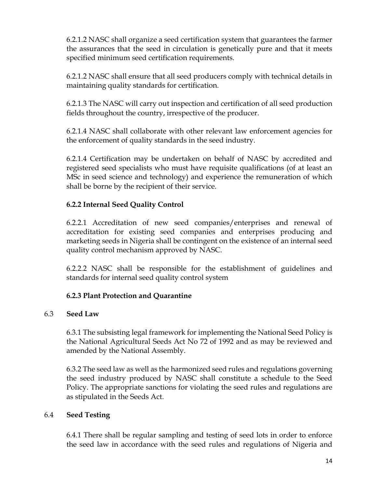6.2.1.2 NASC shall organize a seed certification system that guarantees the farmer the assurances that the seed in circulation is genetically pure and that it meets specified minimum seed certification requirements.

6.2.1.2 NASC shall ensure that all seed producers comply with technical details in maintaining quality standards for certification.

6.2.1.3 The NASC will carry out inspection and certification of all seed production fields throughout the country, irrespective of the producer.

6.2.1.4 NASC shall collaborate with other relevant law enforcement agencies for the enforcement of quality standards in the seed industry.

6.2.1.4 Certification may be undertaken on behalf of NASC by accredited and registered seed specialists who must have requisite qualifications (of at least an MSc in seed science and technology) and experience the remuneration of which shall be borne by the recipient of their service.

#### **6.2.2 Internal Seed Quality Control**

6.2.2.1 Accreditation of new seed companies/enterprises and renewal of accreditation for existing seed companies and enterprises producing and marketing seeds in Nigeria shall be contingent on the existence of an internal seed quality control mechanism approved by NASC.

6.2.2.2 NASC shall be responsible for the establishment of guidelines and standards for internal seed quality control system

#### **6.2.3 Plant Protection and Quarantine**

#### 6.3 **Seed Law**

6.3.1 The subsisting legal framework for implementing the National Seed Policy is the National Agricultural Seeds Act No 72 of 1992 and as may be reviewed and amended by the National Assembly.

6.3.2 The seed law as well as the harmonized seed rules and regulations governing the seed industry produced by NASC shall constitute a schedule to the Seed Policy. The appropriate sanctions for violating the seed rules and regulations are as stipulated in the Seeds Act.

#### 6.4 **Seed Testing**

6.4.1 There shall be regular sampling and testing of seed lots in order to enforce the seed law in accordance with the seed rules and regulations of Nigeria and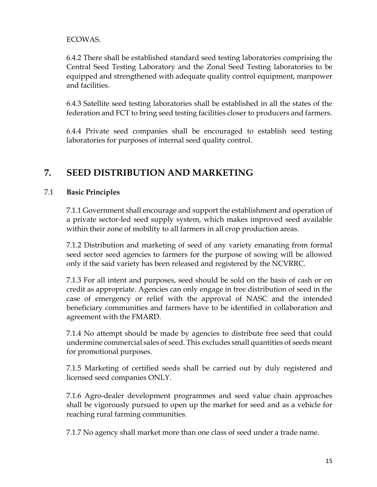#### ECOWAS.

6.4.2 There shall be established standard seed testing laboratories comprising the Central Seed Testing Laboratory and the Zonal Seed Testing laboratories to be equipped and strengthened with adequate quality control equipment, manpower and facilities.

6.4.3 Satellite seed testing laboratories shall be established in all the states of the federation and FCT to bring seed testing facilities closer to producers and farmers.

6.4.4 Private seed companies shall be encouraged to establish seed testing laboratories for purposes of internal seed quality control.

### **7. SEED DISTRIBUTION AND MARKETING**

#### 7.1 **Basic Principles**

7.1.1 Government shall encourage and support the establishment and operation of a private sector-led seed supply system, which makes improved seed available within their zone of mobility to all farmers in all crop production areas.

7.1.2 Distribution and marketing of seed of any variety emanating from formal seed sector seed agencies to farmers for the purpose of sowing will be allowed only if the said variety has been released and registered by the NCVRRC.

7.1.3 For all intent and purposes, seed should be sold on the basis of cash or on credit as appropriate. Agencies can only engage in free distribution of seed in the case of emergency or relief with the approval of NASC and the intended beneficiary communities and farmers have to be identified in collaboration and agreement with the FMARD.

7.1.4 No attempt should be made by agencies to distribute free seed that could undermine commercial sales of seed. This excludes small quantities of seeds meant for promotional purposes.

7.1.5 Marketing of certified seeds shall be carried out by duly registered and licensed seed companies ONLY.

7.1.6 Agro-dealer development programmes and seed value chain approaches shall be vigorously pursued to open up the market for seed and as a vehicle for reaching rural farming communities.

7.1.7 No agency shall market more than one class of seed under a trade name.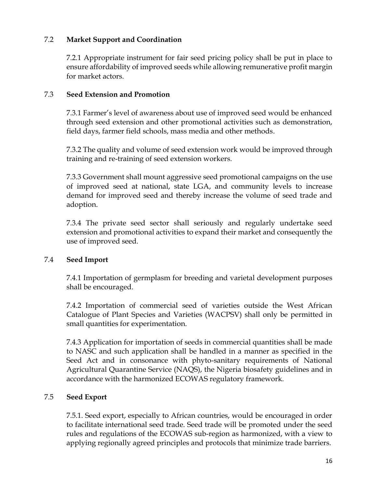#### 7.2 **Market Support and Coordination**

7.2.1 Appropriate instrument for fair seed pricing policy shall be put in place to ensure affordability of improved seeds while allowing remunerative profit margin for market actors.

#### 7.3 **Seed Extension and Promotion**

7.3.1 Farmer's level of awareness about use of improved seed would be enhanced through seed extension and other promotional activities such as demonstration, field days, farmer field schools, mass media and other methods.

7.3.2 The quality and volume of seed extension work would be improved through training and re-training of seed extension workers.

7.3.3 Government shall mount aggressive seed promotional campaigns on the use of improved seed at national, state LGA, and community levels to increase demand for improved seed and thereby increase the volume of seed trade and adoption.

7.3.4 The private seed sector shall seriously and regularly undertake seed extension and promotional activities to expand their market and consequently the use of improved seed.

#### 7.4 **Seed Import**

7.4.1 Importation of germplasm for breeding and varietal development purposes shall be encouraged.

7.4.2 Importation of commercial seed of varieties outside the West African Catalogue of Plant Species and Varieties (WACPSV) shall only be permitted in small quantities for experimentation.

7.4.3 Application for importation of seeds in commercial quantities shall be made to NASC and such application shall be handled in a manner as specified in the Seed Act and in consonance with phyto-sanitary requirements of National Agricultural Quarantine Service (NAQS), the Nigeria biosafety guidelines and in accordance with the harmonized ECOWAS regulatory framework.

#### 7.5 **Seed Export**

7.5.1. Seed export, especially to African countries, would be encouraged in order to facilitate international seed trade. Seed trade will be promoted under the seed rules and regulations of the ECOWAS sub-region as harmonized, with a view to applying regionally agreed principles and protocols that minimize trade barriers.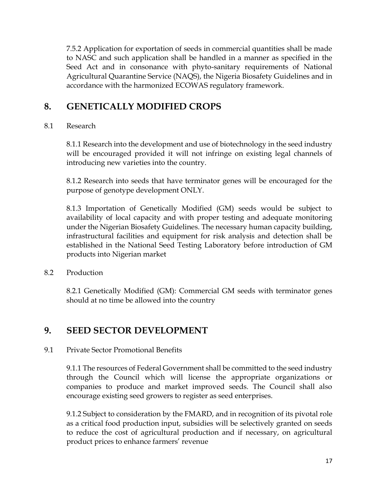7.5.2 Application for exportation of seeds in commercial quantities shall be made to NASC and such application shall be handled in a manner as specified in the Seed Act and in consonance with phyto-sanitary requirements of National Agricultural Quarantine Service (NAQS), the Nigeria Biosafety Guidelines and in accordance with the harmonized ECOWAS regulatory framework.

### **8. GENETICALLY MODIFIED CROPS**

#### 8.1 Research

8.1.1 Research into the development and use of biotechnology in the seed industry will be encouraged provided it will not infringe on existing legal channels of introducing new varieties into the country.

8.1.2 Research into seeds that have terminator genes will be encouraged for the purpose of genotype development ONLY.

8.1.3 Importation of Genetically Modified (GM) seeds would be subject to availability of local capacity and with proper testing and adequate monitoring under the Nigerian Biosafety Guidelines. The necessary human capacity building, infrastructural facilities and equipment for risk analysis and detection shall be established in the National Seed Testing Laboratory before introduction of GM products into Nigerian market

8.2 Production

8.2.1 Genetically Modified (GM): Commercial GM seeds with terminator genes should at no time be allowed into the country

### **9. SEED SECTOR DEVELOPMENT**

#### 9.1 Private Sector Promotional Benefits

9.1.1 The resources of Federal Government shall be committed to the seed industry through the Council which will license the appropriate organizations or companies to produce and market improved seeds. The Council shall also encourage existing seed growers to register as seed enterprises.

9.1.2 Subject to consideration by the FMARD, and in recognition of its pivotal role as a critical food production input, subsidies will be selectively granted on seeds to reduce the cost of agricultural production and if necessary, on agricultural product prices to enhance farmers' revenue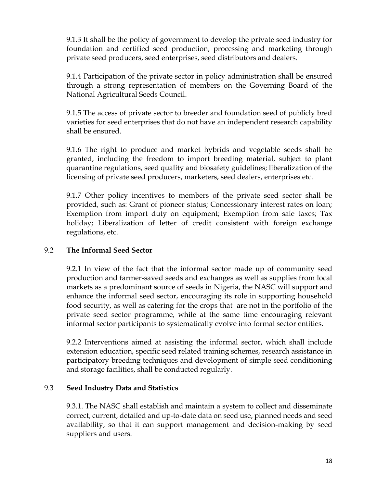9.1.3 It shall be the policy of government to develop the private seed industry for foundation and certified seed production, processing and marketing through private seed producers, seed enterprises, seed distributors and dealers.

9.1.4 Participation of the private sector in policy administration shall be ensured through a strong representation of members on the Governing Board of the National Agricultural Seeds Council.

9.1.5 The access of private sector to breeder and foundation seed of publicly bred varieties for seed enterprises that do not have an independent research capability shall be ensured.

9.1.6 The right to produce and market hybrids and vegetable seeds shall be granted, including the freedom to import breeding material, subject to plant quarantine regulations, seed quality and biosafety guidelines; liberalization of the licensing of private seed producers, marketers, seed dealers, enterprises etc.

9.1.7 Other policy incentives to members of the private seed sector shall be provided, such as: Grant of pioneer status; Concessionary interest rates on loan; Exemption from import duty on equipment; Exemption from sale taxes; Tax holiday; Liberalization of letter of credit consistent with foreign exchange regulations, etc.

#### 9.2 **The Informal Seed Sector**

9.2.1 In view of the fact that the informal sector made up of community seed production and farmer-saved seeds and exchanges as well as supplies from local markets as a predominant source of seeds in Nigeria, the NASC will support and enhance the informal seed sector, encouraging its role in supporting household food security, as well as catering for the crops that are not in the portfolio of the private seed sector programme, while at the same time encouraging relevant informal sector participants to systematically evolve into formal sector entities.

9.2.2 Interventions aimed at assisting the informal sector, which shall include extension education, specific seed related training schemes, research assistance in participatory breeding techniques and development of simple seed conditioning and storage facilities, shall be conducted regularly.

#### 9.3 **Seed Industry Data and Statistics**

9.3.1. The NASC shall establish and maintain a system to collect and disseminate correct, current, detailed and up-to-date data on seed use, planned needs and seed availability, so that it can support management and decision-making by seed suppliers and users.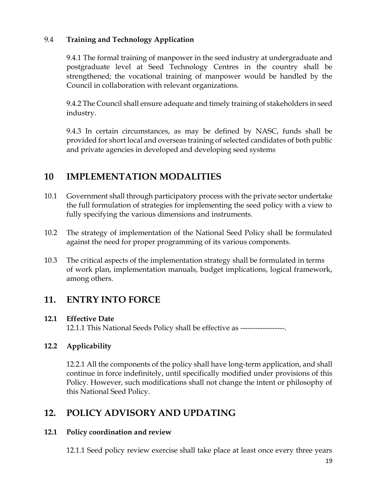#### 9.4 **Training and Technology Application**

9.4.1 The formal training of manpower in the seed industry at undergraduate and postgraduate level at Seed Technology Centres in the country shall be strengthened; the vocational training of manpower would be handled by the Council in collaboration with relevant organizations.

9.4.2 The Council shall ensure adequate and timely training of stakeholders in seed industry.

9.4.3 In certain circumstances, as may be defined by NASC, funds shall be provided for short local and overseas training of selected candidates of both public and private agencies in developed and developing seed systems

### **10 IMPLEMENTATION MODALITIES**

- 10.1 Government shall through participatory process with the private sector undertake the full formulation of strategies for implementing the seed policy with a view to fully specifying the various dimensions and instruments.
- 10.2 The strategy of implementation of the National Seed Policy shall be formulated against the need for proper programming of its various components.
- 10.3 The critical aspects of the implementation strategy shall be formulated in terms of work plan, implementation manuals, budget implications, logical framework, among others.

### **11. ENTRY INTO FORCE**

#### **12.1 Effective Date**

12.1.1 This National Seeds Policy shall be effective as ------------------.

#### **12.2 Applicability**

12.2.1 All the components of the policy shall have long-term application, and shall continue in force indefinitely, until specifically modified under provisions of this Policy. However, such modifications shall not change the intent or philosophy of this National Seed Policy.

### **12. POLICY ADVISORY AND UPDATING**

#### **12.1 Policy coordination and review**

12.1.1 Seed policy review exercise shall take place at least once every three years